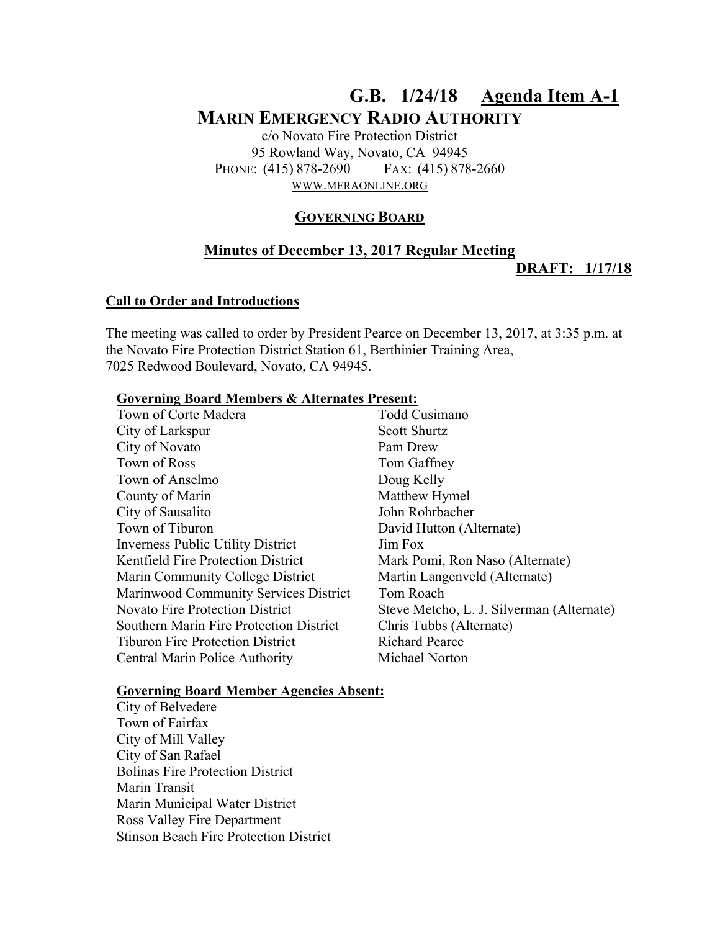# **G.B. 1/24/18 Agenda Item A-1 MARIN EMERGENCY RADIO AUTHORITY**

c/o Novato Fire Protection District 95 Rowland Way, Novato, CA 94945 PHONE: (415) 878-2690 FAX: (415) 878-2660 WWW.MERAONLINE.ORG

## **GOVERNING BOARD**

# **Minutes of December 13, 2017 Regular Meeting DRAFT: 1/17/18**

#### **Call to Order and Introductions**

The meeting was called to order by President Pearce on December 13, 2017, at 3:35 p.m. at the Novato Fire Protection District Station 61, Berthinier Training Area, 7025 Redwood Boulevard, Novato, CA 94945.

#### **Governing Board Members & Alternates Present:**

| Town of Corte Madera                           | Todd Cusimano                             |
|------------------------------------------------|-------------------------------------------|
| City of Larkspur                               | <b>Scott Shurtz</b>                       |
| City of Novato                                 | Pam Drew                                  |
| Town of Ross                                   | Tom Gaffney                               |
| Town of Anselmo                                | Doug Kelly                                |
| County of Marin                                | Matthew Hymel                             |
| City of Sausalito                              | John Rohrbacher                           |
| Town of Tiburon                                | David Hutton (Alternate)                  |
| <b>Inverness Public Utility District</b>       | Jim Fox                                   |
| <b>Kentfield Fire Protection District</b>      | Mark Pomi, Ron Naso (Alternate)           |
| Marin Community College District               | Martin Langenveld (Alternate)             |
| Marinwood Community Services District          | Tom Roach                                 |
| <b>Novato Fire Protection District</b>         | Steve Metcho, L. J. Silverman (Alternate) |
| <b>Southern Marin Fire Protection District</b> | Chris Tubbs (Alternate)                   |
| <b>Tiburon Fire Protection District</b>        | <b>Richard Pearce</b>                     |
| Central Marin Police Authority                 | Michael Norton                            |
|                                                |                                           |

#### **Governing Board Member Agencies Absent:**

City of Belvedere Town of Fairfax City of Mill Valley City of San Rafael Bolinas Fire Protection District Marin Transit Marin Municipal Water District Ross Valley Fire Department Stinson Beach Fire Protection District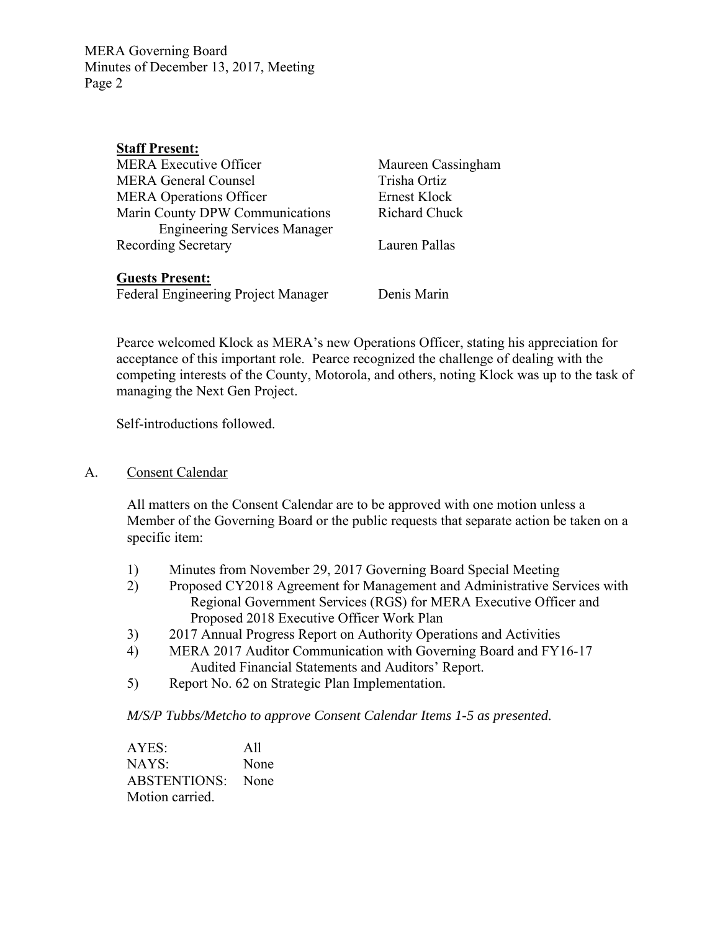MERA Governing Board Minutes of December 13, 2017, Meeting Page 2

| <b>Staff Present:</b>               |                      |
|-------------------------------------|----------------------|
| <b>MERA Executive Officer</b>       | Maureen Cassingham   |
| <b>MERA General Counsel</b>         | Trisha Ortiz         |
| <b>MERA Operations Officer</b>      | Ernest Klock         |
| Marin County DPW Communications     | <b>Richard Chuck</b> |
| <b>Engineering Services Manager</b> |                      |
| <b>Recording Secretary</b>          | Lauren Pallas        |
|                                     |                      |

#### **Guests Present:**

Federal Engineering Project Manager Denis Marin

Pearce welcomed Klock as MERA's new Operations Officer, stating his appreciation for acceptance of this important role. Pearce recognized the challenge of dealing with the competing interests of the County, Motorola, and others, noting Klock was up to the task of managing the Next Gen Project.

Self-introductions followed.

# A. Consent Calendar

All matters on the Consent Calendar are to be approved with one motion unless a Member of the Governing Board or the public requests that separate action be taken on a specific item:

- 1) Minutes from November 29, 2017 Governing Board Special Meeting
- 2) Proposed CY2018 Agreement for Management and Administrative Services with Regional Government Services (RGS) for MERA Executive Officer and Proposed 2018 Executive Officer Work Plan
- 3) 2017 Annual Progress Report on Authority Operations and Activities
- 4) MERA 2017 Auditor Communication with Governing Board and FY16-17 Audited Financial Statements and Auditors' Report.
- 5) Report No. 62 on Strategic Plan Implementation.

*M/S/P Tubbs/Metcho to approve Consent Calendar Items 1-5 as presented.* 

AYES: All NAYS: None ABSTENTIONS: None Motion carried.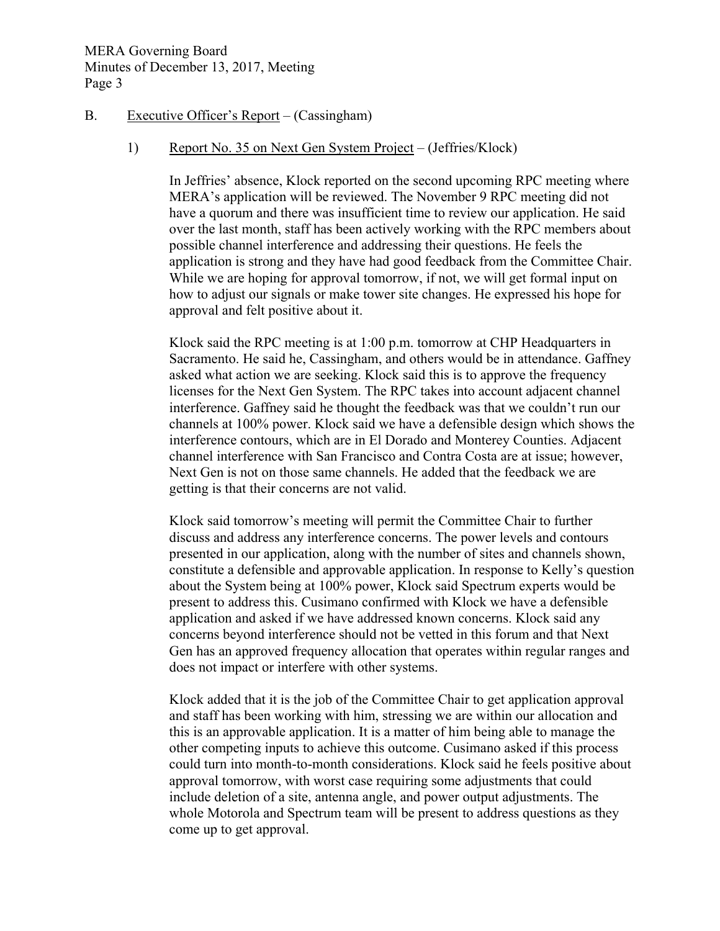## B. Executive Officer's Report – (Cassingham)

## 1) Report No. 35 on Next Gen System Project – (Jeffries/Klock)

In Jeffries' absence, Klock reported on the second upcoming RPC meeting where MERA's application will be reviewed. The November 9 RPC meeting did not have a quorum and there was insufficient time to review our application. He said over the last month, staff has been actively working with the RPC members about possible channel interference and addressing their questions. He feels the application is strong and they have had good feedback from the Committee Chair. While we are hoping for approval tomorrow, if not, we will get formal input on how to adjust our signals or make tower site changes. He expressed his hope for approval and felt positive about it.

Klock said the RPC meeting is at 1:00 p.m. tomorrow at CHP Headquarters in Sacramento. He said he, Cassingham, and others would be in attendance. Gaffney asked what action we are seeking. Klock said this is to approve the frequency licenses for the Next Gen System. The RPC takes into account adjacent channel interference. Gaffney said he thought the feedback was that we couldn't run our channels at 100% power. Klock said we have a defensible design which shows the interference contours, which are in El Dorado and Monterey Counties. Adjacent channel interference with San Francisco and Contra Costa are at issue; however, Next Gen is not on those same channels. He added that the feedback we are getting is that their concerns are not valid.

Klock said tomorrow's meeting will permit the Committee Chair to further discuss and address any interference concerns. The power levels and contours presented in our application, along with the number of sites and channels shown, constitute a defensible and approvable application. In response to Kelly's question about the System being at 100% power, Klock said Spectrum experts would be present to address this. Cusimano confirmed with Klock we have a defensible application and asked if we have addressed known concerns. Klock said any concerns beyond interference should not be vetted in this forum and that Next Gen has an approved frequency allocation that operates within regular ranges and does not impact or interfere with other systems.

Klock added that it is the job of the Committee Chair to get application approval and staff has been working with him, stressing we are within our allocation and this is an approvable application. It is a matter of him being able to manage the other competing inputs to achieve this outcome. Cusimano asked if this process could turn into month-to-month considerations. Klock said he feels positive about approval tomorrow, with worst case requiring some adjustments that could include deletion of a site, antenna angle, and power output adjustments. The whole Motorola and Spectrum team will be present to address questions as they come up to get approval.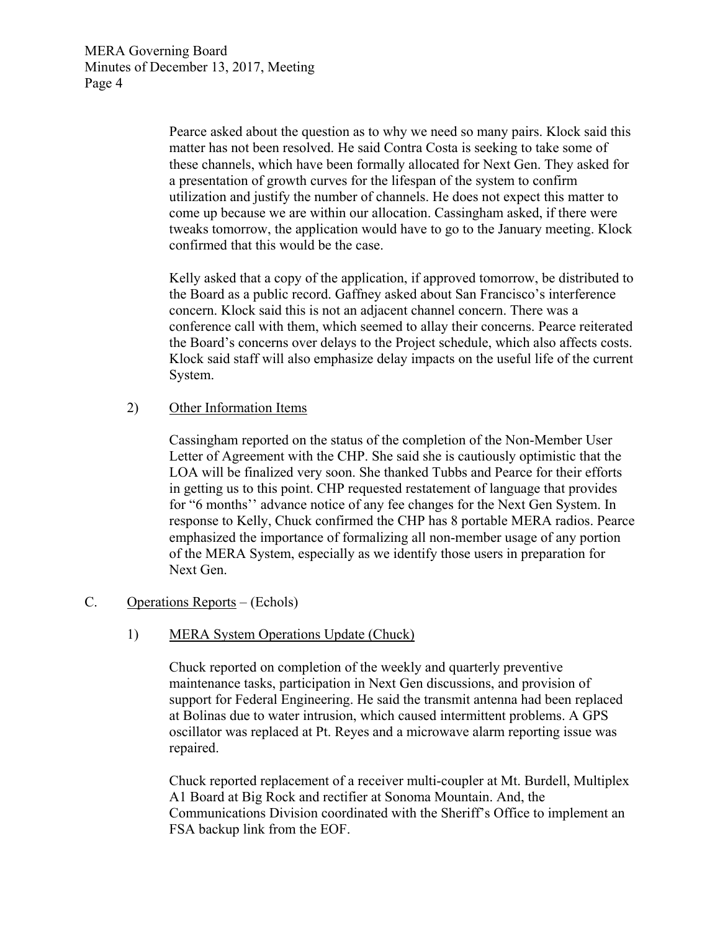Pearce asked about the question as to why we need so many pairs. Klock said this matter has not been resolved. He said Contra Costa is seeking to take some of these channels, which have been formally allocated for Next Gen. They asked for a presentation of growth curves for the lifespan of the system to confirm utilization and justify the number of channels. He does not expect this matter to come up because we are within our allocation. Cassingham asked, if there were tweaks tomorrow, the application would have to go to the January meeting. Klock confirmed that this would be the case.

Kelly asked that a copy of the application, if approved tomorrow, be distributed to the Board as a public record. Gaffney asked about San Francisco's interference concern. Klock said this is not an adjacent channel concern. There was a conference call with them, which seemed to allay their concerns. Pearce reiterated the Board's concerns over delays to the Project schedule, which also affects costs. Klock said staff will also emphasize delay impacts on the useful life of the current System.

#### 2) Other Information Items

Cassingham reported on the status of the completion of the Non-Member User Letter of Agreement with the CHP. She said she is cautiously optimistic that the LOA will be finalized very soon. She thanked Tubbs and Pearce for their efforts in getting us to this point. CHP requested restatement of language that provides for "6 months'' advance notice of any fee changes for the Next Gen System. In response to Kelly, Chuck confirmed the CHP has 8 portable MERA radios. Pearce emphasized the importance of formalizing all non-member usage of any portion of the MERA System, especially as we identify those users in preparation for Next Gen.

# C. Operations Reports – (Echols)

# 1) MERA System Operations Update (Chuck)

Chuck reported on completion of the weekly and quarterly preventive maintenance tasks, participation in Next Gen discussions, and provision of support for Federal Engineering. He said the transmit antenna had been replaced at Bolinas due to water intrusion, which caused intermittent problems. A GPS oscillator was replaced at Pt. Reyes and a microwave alarm reporting issue was repaired.

Chuck reported replacement of a receiver multi-coupler at Mt. Burdell, Multiplex A1 Board at Big Rock and rectifier at Sonoma Mountain. And, the Communications Division coordinated with the Sheriff's Office to implement an FSA backup link from the EOF.